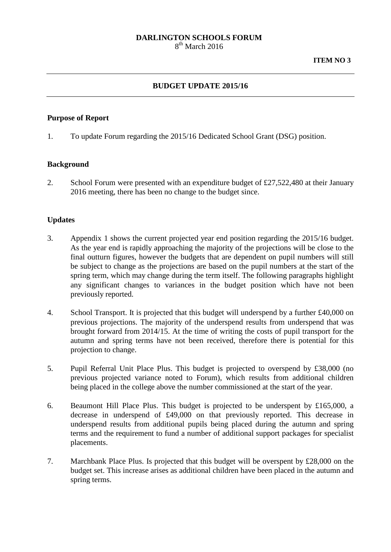#### **DARLINGTON SCHOOLS FORUM** 8<sup>th</sup> March 2016

## **BUDGET UPDATE 2015/16**

## **Purpose of Report**

1. To update Forum regarding the 2015/16 Dedicated School Grant (DSG) position.

### **Background**

2. School Forum were presented with an expenditure budget of £27,522,480 at their January 2016 meeting, there has been no change to the budget since.

## **Updates**

- 3. Appendix 1 shows the current projected year end position regarding the 2015/16 budget. As the year end is rapidly approaching the majority of the projections will be close to the final outturn figures, however the budgets that are dependent on pupil numbers will still be subject to change as the projections are based on the pupil numbers at the start of the spring term, which may change during the term itself. The following paragraphs highlight any significant changes to variances in the budget position which have not been previously reported.
- 4. School Transport. It is projected that this budget will underspend by a further £40,000 on previous projections. The majority of the underspend results from underspend that was brought forward from 2014/15. At the time of writing the costs of pupil transport for the autumn and spring terms have not been received, therefore there is potential for this projection to change.
- 5. Pupil Referral Unit Place Plus. This budget is projected to overspend by £38,000 (no previous projected variance noted to Forum), which results from additional children being placed in the college above the number commissioned at the start of the year.
- 6. Beaumont Hill Place Plus. This budget is projected to be underspent by £165,000, a decrease in underspend of £49,000 on that previously reported. This decrease in underspend results from additional pupils being placed during the autumn and spring terms and the requirement to fund a number of additional support packages for specialist placements.
- 7. Marchbank Place Plus. Is projected that this budget will be overspent by £28,000 on the budget set. This increase arises as additional children have been placed in the autumn and spring terms.